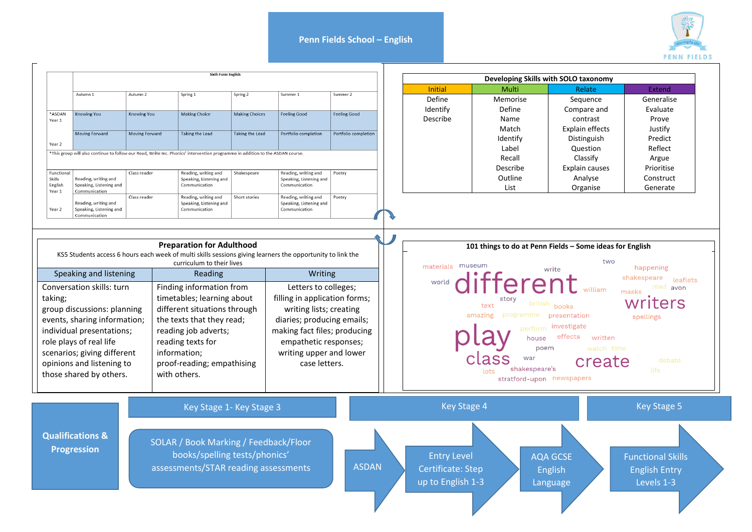## **Penn Fields School – English**